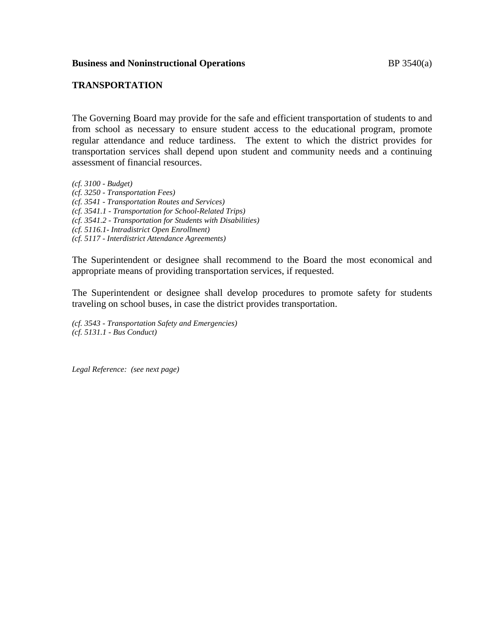## **TRANSPORTATION**

The Governing Board may provide for the safe and efficient transportation of students to and from school as necessary to ensure student access to the educational program, promote regular attendance and reduce tardiness. The extent to which the district provides for transportation services shall depend upon student and community needs and a continuing assessment of financial resources.

*(cf. 3100 - Budget) (cf. 3250 - Transportation Fees) (cf. 3541 - Transportation Routes and Services) (cf. 3541.1 - Transportation for School-Related Trips) (cf. 3541.2 - Transportation for Students with Disabilities) (cf. 5116.1- Intradistrict Open Enrollment) (cf. 5117 - Interdistrict Attendance Agreements)*

The Superintendent or designee shall recommend to the Board the most economical and appropriate means of providing transportation services, if requested.

The Superintendent or designee shall develop procedures to promote safety for students traveling on school buses, in case the district provides transportation.

*(cf. 3543 - Transportation Safety and Emergencies) (cf. 5131.1 - Bus Conduct)*

*Legal Reference: (see next page)*